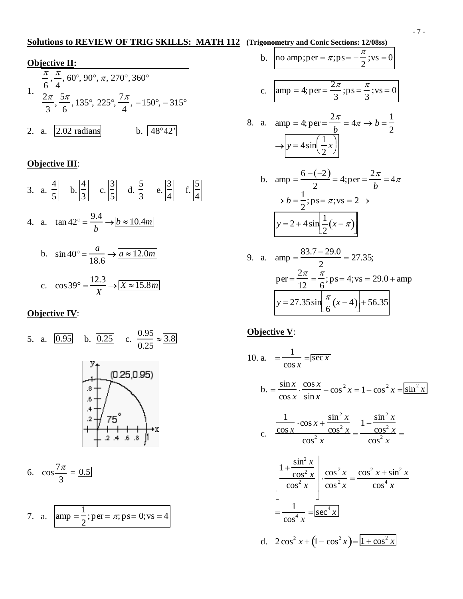#### **Solutions to REVIEW OF TRIG SKILLS: MATH 112 (Trigonometry and Conic Sections: 12/08ss)**

## **Objective II:**

| $\left \frac{\pi}{6}, \frac{\pi}{4}, 60^{\circ}, 90^{\circ}, \pi, 270^{\circ}, 360^{\circ}\right $<br>$\left[\frac{2\pi}{3}, \frac{5\pi}{6}, 135^\circ, 225^\circ, \frac{7\pi}{4}, -150^\circ, -315^\circ\right]$ |                                          |  |  |  |  |  |  |
|-------------------------------------------------------------------------------------------------------------------------------------------------------------------------------------------------------------------|------------------------------------------|--|--|--|--|--|--|
|                                                                                                                                                                                                                   | 2. a. $\vert 2.02 \text{ radians} \vert$ |  |  |  |  |  |  |

#### **Objective III**:

3. a. 4  $\frac{1}{5}$  b. 4  $\frac{1}{3}$  c. 3 5 d.  $\frac{5}{2}$ 3 e.  $\frac{3}{4}$  f.  $\frac{5}{4}$ 4. a.  $\tan 42^{\circ} = \frac{9.4}{4}$ *b*  $\rightarrow b \approx 10.4$ *m* b.  $\sin 40^\circ = \frac{a}{10}$ 18.6  $\rightarrow$   $a \approx 12.0$ *m* c.  $\cos 39^\circ = \frac{12.3}{V}$ *X*  $\rightarrow$   $X \approx 15.8$ *m* 

## **Objective IV**:

5. a. 0.95 b. 0.25 c. 0.95 0.25 <sup>≈</sup> 3.8 6. cos 7<sup>π</sup> 3 = 0.5 7. a. amp <sup>=</sup> <sup>1</sup> ; per = <sup>π</sup>; ps= 0;vs = 4

2

b. no amp;per = 
$$
\pi
$$
;ps =  $-\frac{\pi}{2}$ ;vs = 0

c. 
$$
amp = 4
$$
;  $per = \frac{2\pi}{3}$ ;  $ps = \frac{\pi}{3}$ ;  $vs = 0$ 

8. a. amp = 4; per = 
$$
\frac{2\pi}{b}
$$
 =  $4\pi \rightarrow b = \frac{1}{2}$   

$$
\rightarrow \boxed{y = 4\sin\left(\frac{1}{2}x\right)}
$$

b. amp = 
$$
\frac{6 - (-2)}{2}
$$
 = 4;per =  $\frac{2\pi}{b}$  = 4 $\pi$   
\n $\rightarrow b = \frac{1}{2}$ ;ps =  $\pi$ ;vs = 2  $\rightarrow$   
\n $y = 2 + 4 \sin \frac{1}{2} (x - \pi)$ 

9. a. 
$$
amp = \frac{83.7 - 29.0}{2} = 27.35;
$$
  
\n $per = \frac{2\pi}{12} = \frac{\pi}{6}; ps = 4; vs = 29.0 + amp$   
\n $y = 27.35 \sin \left[\frac{\pi}{6}(x-4)\right] + 56.35$ 

#### **Objective V**:

10. a. 
$$
= \frac{1}{\cos x} = \frac{1}{\sec x}
$$
  
\nb. 
$$
= \frac{\sin x}{\cos x} \cdot \frac{\cos x}{\sin x} - \cos^2 x = 1 - \cos^2 x = \frac{1}{\sin^2 x}
$$
  
\nc. 
$$
\frac{1}{\cos x} \cdot \frac{\cos x + \frac{\sin^2 x}{\cos^2 x}}{\cos^2 x} = \frac{1 + \frac{\sin^2 x}{\cos^2 x}}{\cos^2 x} = \frac{1 + \frac{\sin^2 x}{\cos^2 x}}{\cos^2 x} = \frac{1 + \frac{\sin^2 x}{\cos^2 x}}{\cos^2 x} = \frac{1 + \frac{\sin^2 x}{\cos^2 x}}{\cos^2 x} = \frac{1 + \frac{\cos^2 x}{\cos^2 x}}{\cos^2 x} = \frac{1 + \frac{\cos^2 x}{\cos^2 x}}{\cos^2 x} = \frac{1 + \cos^2 x}{\cos^2 x} = \frac{1 + \cos^2 x}{\cos^2 x}
$$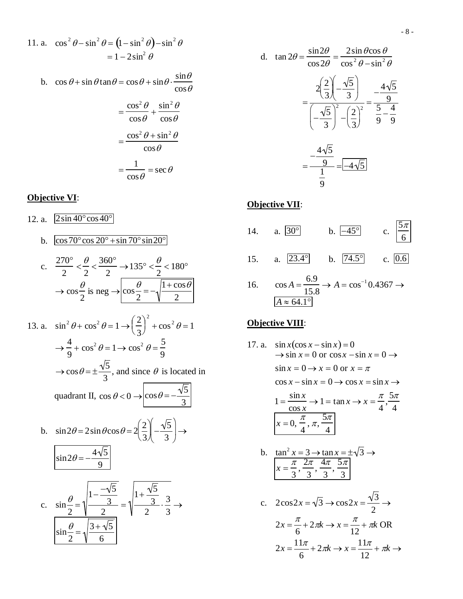- 8 -

d. 
$$
\tan 2\theta = \frac{\sin 2\theta}{\cos 2\theta} = \frac{2\sin \theta \cos \theta}{\cos^2 \theta - \sin^2 \theta}
$$

$$
= \frac{2\left(\frac{2}{3}\right)\left(-\frac{\sqrt{5}}{3}\right)}{\left(-\frac{\sqrt{5}}{3}\right)^2 - \left(\frac{2}{3}\right)^2} = \frac{4\sqrt{5}}{9}
$$

$$
= \frac{-\frac{4\sqrt{5}}{9}}{\frac{1}{9}} = \boxed{-4\sqrt{5}}
$$

#### **Objective VII**:



16.  $\cos A = \frac{6.9}{15.6}$ 15.8  $\rightarrow$  *A* =  $\cos^{-1}$ 0.4367  $\rightarrow$  $A \approx 64.1^\circ$ 

#### **Objective VIII**:

- 17. a.  $\sin x(\cos x \sin x) = 0$  $\rightarrow$  sin  $x = 0$  or cos  $x - \sin x = 0 \rightarrow$  $\sin x = 0 \rightarrow x = 0$  or  $x = \pi$  $\cos x - \sin x = 0 \rightarrow \cos x = \sin x \rightarrow$  $1 = \frac{\sin x}{x}$ cos *x*  $\rightarrow$  1 = tan *x*  $\rightarrow$  *x* =  $\frac{\pi}{4}, \frac{5\pi}{4}$ 4  $x = 0, \frac{\pi}{4}, \pi, \frac{5\pi}{4}$ 4 b.  $\tan^2 x = 3 \rightarrow \tan x = \pm \sqrt{3} \rightarrow$ 
	- $x = \frac{\pi}{2}$ 3  $,\frac{2\pi}{3},\frac{4\pi}{3},\frac{5\pi}{3}$ 3 c.  $2\cos 2x = \sqrt{3} \rightarrow \cos 2x = \frac{\sqrt{3}}{2}$ 2  $\rightarrow$  $2x = \frac{\pi}{4} + 2\pi k \rightarrow x = \frac{\pi}{4} + \pi k$  OR

$$
2x = \frac{11\pi}{6} + 2\pi k \rightarrow x = \frac{11\pi}{12} + \pi k \rightarrow
$$

11. a. 
$$
\cos^2 \theta - \sin^2 \theta = (1 - \sin^2 \theta) - \sin^2 \theta
$$
  
=  $1 - 2\sin^2 \theta$ 

b.  $\cos \theta + \sin \theta \tan \theta = \cos \theta + \sin \theta \cdot \frac{\sin \theta}{\theta}$  $\cos\theta$ 

$$
= \frac{\cos^2 \theta}{\cos \theta} + \frac{\sin^2 \theta}{\cos \theta}
$$

$$
= \frac{\cos^2 \theta + \sin^2 \theta}{\cos \theta}
$$

$$
= \frac{1}{\cos \theta} = \sec \theta
$$

### **Objective VI**:

12. a.  $\sqrt{2\sin 40^\circ \cos 40^\circ}$ 

12. a. 
$$
\frac{250 \text{ A} \cdot \text{COS 10}}{2} \times \frac{\theta}{2} < \frac{360^{\circ}}{2} \rightarrow 135^{\circ} < \frac{\theta}{2} < 180^{\circ}
$$
  
\n
$$
\rightarrow \cos \frac{\theta}{2} \text{ is neg } \rightarrow \boxed{\cos \frac{\theta}{2} = -\sqrt{\frac{1 + \cos \theta}{2}}}
$$
  
\n13. a. 
$$
\sin^2 \theta + \cos^2 \theta = 1 \rightarrow \left(\frac{2}{3}\right)^2 + \cos^2 \theta = 1
$$
  
\n
$$
\rightarrow \frac{4}{9} + \cos^2 \theta = 1 \rightarrow \cos^2 \theta = \frac{5}{9}
$$
  
\n
$$
\rightarrow \cos \theta = \pm \frac{\sqrt{5}}{3}, \text{ and since } \theta \text{ is located in}
$$
  
\nquadrant II,  $\cos \theta < 0 \rightarrow \boxed{\cos \theta = -\frac{\sqrt{5}}{3}}$   
\nb. 
$$
\sin 2\theta = 2 \sin \theta \cos \theta = 2\left(\frac{2}{3}\right)\left(-\frac{\sqrt{5}}{3}\right) \rightarrow
$$
  
\n
$$
\frac{\sin 2\theta = -\frac{4\sqrt{5}}{9}}{\frac{2}{3}} = \sqrt{\frac{1 + \frac{\sqrt{5}}{3}}{2} \cdot \frac{3}{3}} \rightarrow
$$
  
\n
$$
\frac{\sin \frac{\theta}{2} = \sqrt{\frac{1 - \frac{-\sqrt{5}}{3}}{2}}}{\frac{\sqrt{3} + \sqrt{5}}{6}} = \sqrt{\frac{1 + \frac{\sqrt{5}}{3}}{2} \cdot \frac{3}{3}} \rightarrow
$$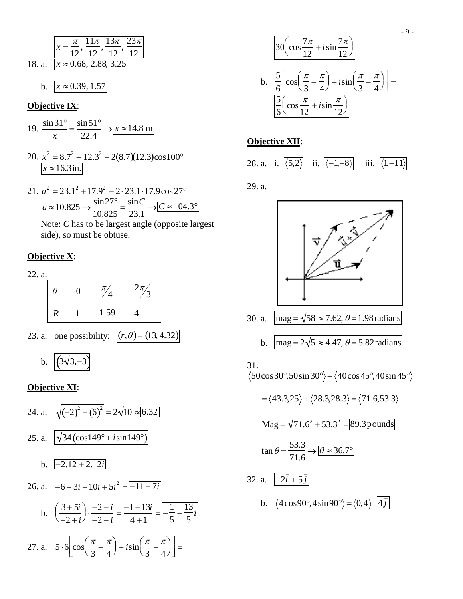18. a. 
$$
x = \frac{\pi}{12}, \frac{11\pi}{12}, \frac{13\pi}{12}, \frac{23\pi}{12}
$$
  
18. a. 
$$
x \approx 0.68, 2.88, 3.25
$$
  
b. 
$$
x \approx 0.39, 1.57
$$

#### **Objective IX:**

19. 
$$
\frac{\sin 31^{\circ}}{x} = \frac{\sin 51^{\circ}}{22.4} \rightarrow x \approx 14.8 \text{ m}
$$

- 20.  $x^2 = 8.7^2 + 12.3^2 2(8.7)(12.3)\cos 100^\circ$ <br> $x \approx 16.3 \text{ in.}$
- 21.  $a^2 = 23.1^2 + 17.9^2 2 \cdot 23.1 \cdot 17.9 \cos 27^\circ$ <br>  $a \approx 10.825 \rightarrow \frac{\sin 27^\circ}{10.825} = \frac{\sin C}{23.1} \rightarrow \boxed{C \approx 104.3^\circ}$

Note: C has to be largest angle (opposite largest side), so must be obtuse.

#### Objective X:

22. a.

| $\theta$ | C | $\pi$ | $2\pi$ |
|----------|---|-------|--------|
| R        |   | 1.59  |        |

23. a. one possibility:  $|(r,\theta) = (13, 4.32)$ 

b. 
$$
(3\sqrt{3},-3)
$$

### Objective XI:

24. a. 
$$
\sqrt{(-2)^2 + (6)^2} = 2\sqrt{10} \approx 6.32
$$
  
\n25. a.  $\sqrt{\frac{34}{\cos 149^\circ + i \sin 149^\circ}}$   
\nb.  $\sqrt{2.12 + 2.12i}$   
\n26. a.  $-6 + 3i - 10i + 5i^2 = \boxed{-11 - 7i}$   
\nb.  $\left(\frac{3 + 5i}{-2 + i}\right) \cdot \frac{-2 - i}{-2 - i} = \frac{-1 - 13i}{4 + 1} = \boxed{-\frac{1}{5} - \frac{13}{5}i}$   
\n27. a.  $5 \cdot 6 \left[\cos\left(\frac{\pi}{3} + \frac{\pi}{4}\right) + i \sin\left(\frac{\pi}{3} + \frac{\pi}{4}\right)\right] =$ 

$$
\frac{30\left(\cos\frac{7\pi}{12} + i\sin\frac{7\pi}{12}\right)}{5\left[\cos\left(\frac{\pi}{3} - \frac{\pi}{4}\right) + i\sin\left(\frac{\pi}{3} - \frac{\pi}{4}\right)\right]} = \frac{5}{6}\left(\cos\frac{\pi}{12} + i\sin\frac{\pi}{12}\right)
$$

## **Objective XII:**

|  |  |  |  | 28. a. i. $\langle 5,2 \rangle$ ii. $\langle -1,-8 \rangle$ iii. $\langle 1,-11 \rangle$ |  |  |
|--|--|--|--|------------------------------------------------------------------------------------------|--|--|
|--|--|--|--|------------------------------------------------------------------------------------------|--|--|

29. a.



30. a. 
$$
\text{mag} = \sqrt{58} \approx 7.62, \theta = 1.98 \text{ radians}
$$

b. 
$$
\text{mag} = 2\sqrt{5} \approx 4.47
$$
,  $\theta = 5.82$  radians

#### 31.

 $\langle 50\cos 30^\circ, 50\sin 30^\circ \rangle + \langle 40\cos 45^\circ, 40\sin 45^\circ \rangle$ 

$$
= \langle 43.3, 25 \rangle + \langle 28.3, 28.3 \rangle = \langle 71.6, 53.3 \rangle
$$
  
\n
$$
\text{Mag} = \sqrt{71.6^2 + 53.3^2} = 89.3 \text{ pounds}
$$
  
\n
$$
\tan \theta = \frac{53.3}{71.6} \rightarrow \boxed{\theta \approx 36.7^{\circ}}
$$
  
\n32. a.  $\boxed{-2\bar{i} + 5\bar{j}}$   
\nb.  $\langle 4\cos 90^{\circ}, 4\sin 90^{\circ} \rangle = \langle 0, 4 \rangle = 4\bar{j}$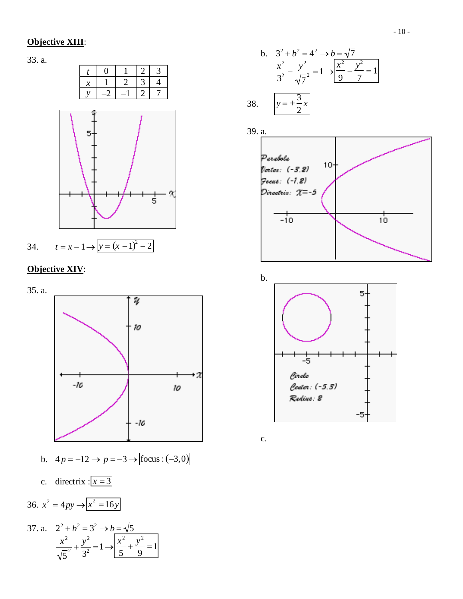### **Objective XIII**:

33. a.



## **Objective XIV**:



b. 
$$
3^2 + b^2 = 4^2 \rightarrow b = \sqrt{7}
$$
  

$$
\frac{x^2}{3^2} - \frac{y^2}{\sqrt{7^2}} = 1 \rightarrow \frac{x^2}{9} - \frac{y^2}{7} = 1
$$

$$
38. \qquad y = \pm \frac{3}{2}x
$$



b.



c.